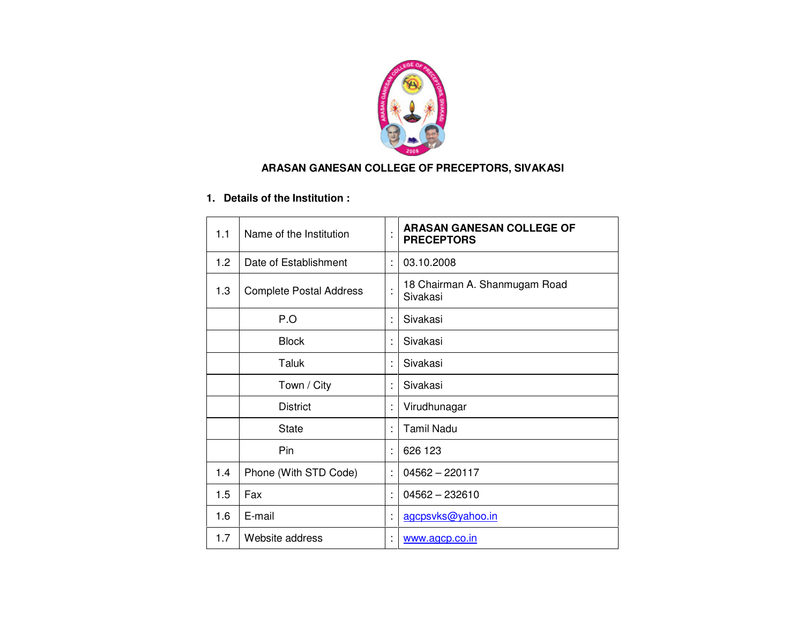

### **ARASAN GANESAN COLLEGE OF PRECEPTORS, SIVAKASI**

## **1. Details of the Institution :**

| 1.1 | Name of the Institution        |         | <b>ARASAN GANESAN COLLEGE OF</b><br><b>PRECEPTORS</b> |
|-----|--------------------------------|---------|-------------------------------------------------------|
| 1.2 | Date of Establishment          | ÷       | 03.10.2008                                            |
| 1.3 | <b>Complete Postal Address</b> | $\cdot$ | 18 Chairman A. Shanmugam Road<br>Sivakasi             |
|     | P.O                            |         | Sivakasi                                              |
|     | <b>Block</b>                   |         | Sivakasi                                              |
|     | Taluk                          |         | Sivakasi                                              |
|     | Town / City                    |         | Sivakasi                                              |
|     | <b>District</b>                |         | Virudhunagar                                          |
|     | <b>State</b>                   | t       | <b>Tamil Nadu</b>                                     |
|     | Pin                            | ÷       | 626 123                                               |
| 1.4 | Phone (With STD Code)          | ÷       | $04562 - 220117$                                      |
| 1.5 | Fax                            | ÷       | $04562 - 232610$                                      |
| 1.6 | E-mail                         |         | agcpsvks@yahoo.in                                     |
| 1.7 | Website address                |         | www.agcp.co.in                                        |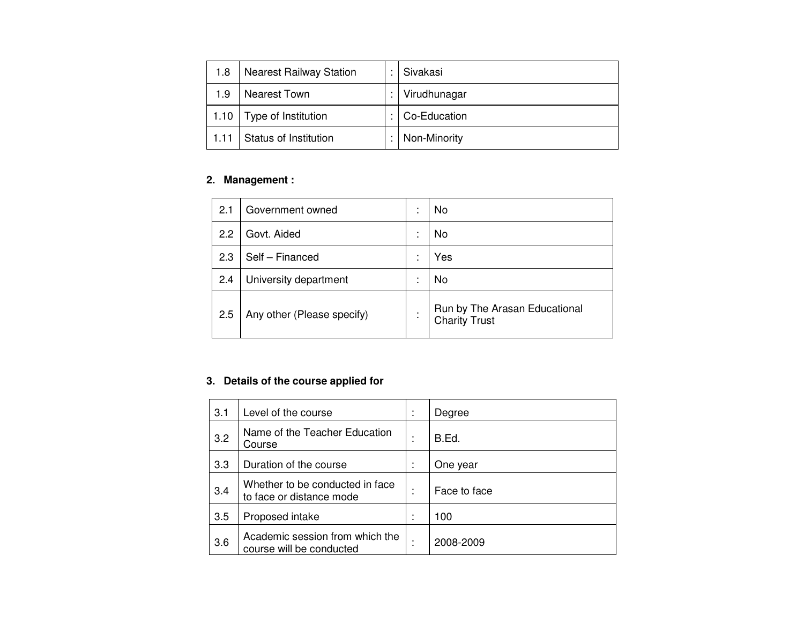| 1.8  | <b>Nearest Railway Station</b> | Sivakasi               |
|------|--------------------------------|------------------------|
| 1.9  | Nearest Town                   | Virudhunagar           |
| 1.10 | Type of Institution            | : $\vert$ Co-Education |
| 1.11 | Status of Institution          | :   Non-Minority       |

## **2. Management :**

| 2.1 | Government owned           |                          | No                                                    |
|-----|----------------------------|--------------------------|-------------------------------------------------------|
| 2.2 | Govt. Aided                | $\overline{\phantom{a}}$ | No                                                    |
| 2.3 | Self - Financed            |                          | Yes                                                   |
| 2.4 | University department      |                          | No                                                    |
| 2.5 | Any other (Please specify) |                          | Run by The Arasan Educational<br><b>Charity Trust</b> |

### **3. Details of the course applied for**

| 3.1 | Level of the course                                         | Degree       |
|-----|-------------------------------------------------------------|--------------|
| 3.2 | Name of the Teacher Education<br>Course                     | B.Ed.        |
| 3.3 | Duration of the course                                      | One year     |
| 3.4 | Whether to be conducted in face<br>to face or distance mode | Face to face |
| 3.5 | Proposed intake                                             | 100          |
| 3.6 | Academic session from which the<br>course will be conducted | 2008-2009    |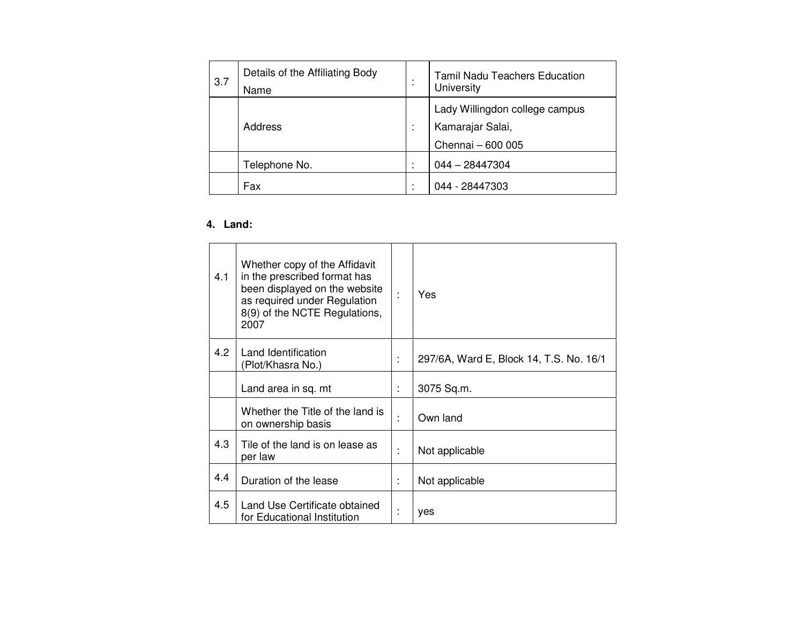| 3.7 | Details of the Affiliating Body<br>Name | Tamil Nadu Teachers Education<br>University                             |
|-----|-----------------------------------------|-------------------------------------------------------------------------|
|     | Address                                 | Lady Willingdon college campus<br>Kamarajar Salai,<br>Chennai - 600 005 |
|     | Telephone No.                           | $044 - 28447304$                                                        |
|     | Fax                                     | 044 - 28447303                                                          |

## **4. Land:**

| 4.1 | Whether copy of the Affidavit<br>in the prescribed format has<br>been displayed on the website<br>as required under Regulation<br>8(9) of the NCTE Regulations,<br>2007 |   | Yes                                     |
|-----|-------------------------------------------------------------------------------------------------------------------------------------------------------------------------|---|-----------------------------------------|
| 4.2 | Land Identification<br>(Plot/Khasra No.)                                                                                                                                |   | 297/6A, Ward E, Block 14, T.S. No. 16/1 |
|     | Land area in sq. mt                                                                                                                                                     | ÷ | 3075 Sq.m.                              |
|     | Whether the Title of the land is<br>on ownership basis                                                                                                                  | ٠ | Own land                                |
| 4.3 | Tile of the land is on lease as<br>per law                                                                                                                              |   | Not applicable                          |
| 4.4 | Duration of the lease                                                                                                                                                   |   | Not applicable                          |
| 4.5 | Land Use Certificate obtained<br>for Educational Institution                                                                                                            |   | yes                                     |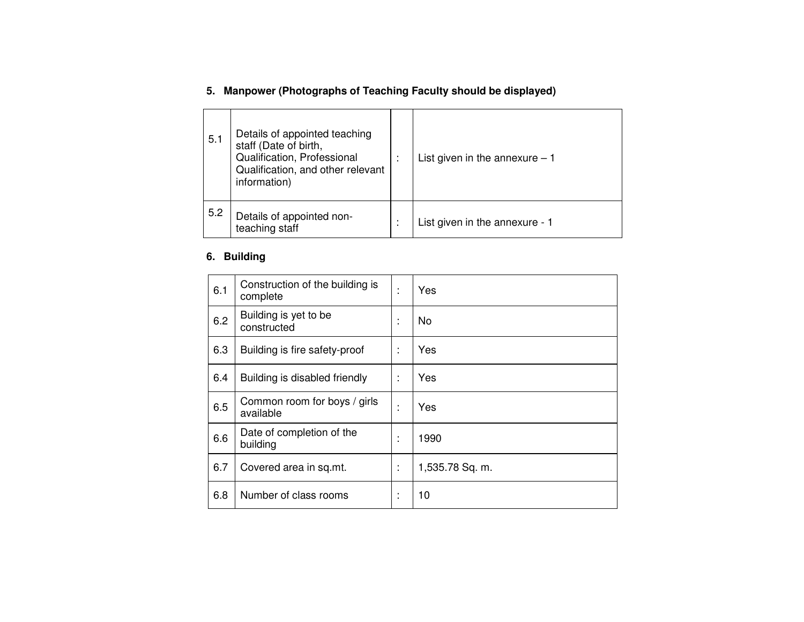## **5. Manpower (Photographs of Teaching Faculty should be displayed)**

| 5.1 | Details of appointed teaching<br>staff (Date of birth,<br>Qualification, Professional<br>Qualification, and other relevant<br>information) | List given in the annexure $-1$ |
|-----|--------------------------------------------------------------------------------------------------------------------------------------------|---------------------------------|
| 5.2 | Details of appointed non-<br>teaching staff                                                                                                | List given in the annexure - 1  |

#### **6. Building**

| 6.1 | Construction of the building is<br>complete | $\mathbf{r}$      | Yes             |
|-----|---------------------------------------------|-------------------|-----------------|
| 6.2 | Building is yet to be<br>constructed        | $\mathbf{r}$      | No.             |
| 6.3 | Building is fire safety-proof               | ×                 | Yes             |
| 6.4 | Building is disabled friendly               | $\mathbf{r}$      | Yes             |
| 6.5 | Common room for boys / girls<br>available   |                   | Yes             |
| 6.6 | Date of completion of the<br>building       | ٠<br>$\mathbf{r}$ | 1990            |
| 6.7 | Covered area in sq.mt.                      | $\mathbf{r}$      | 1,535.78 Sq. m. |
| 6.8 | Number of class rooms                       |                   | 10              |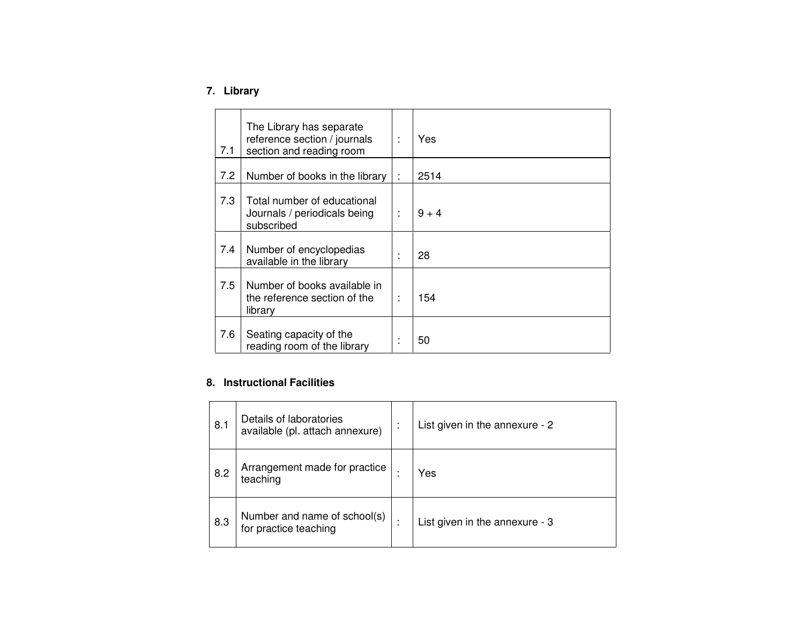## **7. Library**

| 7.1 | The Library has separate<br>reference section / journals<br>section and reading room | Yes     |
|-----|--------------------------------------------------------------------------------------|---------|
| 7.2 | Number of books in the library                                                       | 2514    |
| 7.3 | Total number of educational<br>Journals / periodicals being<br>subscribed            | $9 + 4$ |
| 7.4 | Number of encyclopedias<br>available in the library                                  | 28      |
| 7.5 | Number of books available in<br>the reference section of the<br>library              | 154     |
| 7.6 | Seating capacity of the<br>reading room of the library                               | 50      |

#### **8. Instructional Facilities**

| 8.1 | Details of laboratories<br>available (pl. attach annexure) | ٠ | List given in the annexure - 2 |
|-----|------------------------------------------------------------|---|--------------------------------|
| 8.2 | Arrangement made for practice<br>teaching                  |   | Yes                            |
| 8.3 | Number and name of school(s)<br>for practice teaching      |   | List given in the annexure - 3 |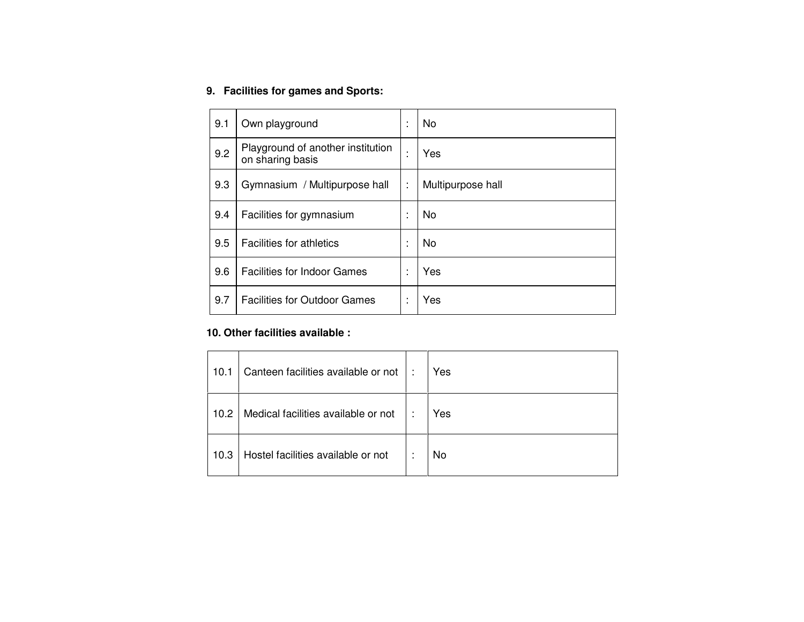#### **9. Facilities for games and Sports:**

| 9.1 | Own playground                                        | ٠<br>×.           | <b>No</b>         |
|-----|-------------------------------------------------------|-------------------|-------------------|
| 9.2 | Playground of another institution<br>on sharing basis | ٠                 | Yes               |
| 9.3 | Gymnasium / Multipurpose hall                         | ÷                 | Multipurpose hall |
| 9.4 | Facilities for gymnasium                              | ٠                 | No                |
| 9.5 | <b>Facilities for athletics</b>                       | ٠<br>$\mathbf{r}$ | <b>No</b>         |
| 9.6 | <b>Facilities for Indoor Games</b>                    | ٠                 | Yes               |
| 9.7 | <b>Facilities for Outdoor Games</b>                   |                   | Yes               |

### **10. Other facilities available :**

| 10.1 | Canteen facilities available or not | - 1 | Yes |
|------|-------------------------------------|-----|-----|
| 10.2 | Medical facilities available or not | ٠   | Yes |
| 10.3 | Hostel facilities available or not  | ٠   | No  |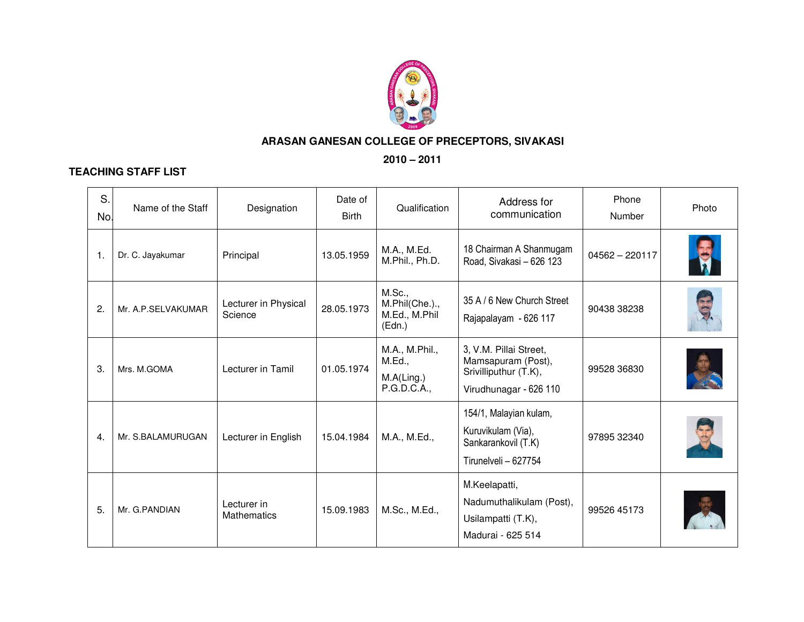

### **ARASAN GANESAN COLLEGE OF PRECEPTORS, SIVAKASI**

**2010 – 2011** 

#### **TEACHING STAFF LIST**

| S.<br>No.    | Name of the Staff  | Designation                       | Date of<br><b>Birth</b> | Qualification                                         | Address for<br>communication                                                                    | Phone<br>Number  | Photo |
|--------------|--------------------|-----------------------------------|-------------------------|-------------------------------------------------------|-------------------------------------------------------------------------------------------------|------------------|-------|
| $\mathbf{1}$ | Dr. C. Jayakumar   | Principal                         | 13.05.1959              | M.A., M.Ed.<br>M.Phil., Ph.D.                         | 18 Chairman A Shanmugam<br>Road, Sivakasi - 626 123                                             | $04562 - 220117$ |       |
| 2.           | Mr. A.P.SELVAKUMAR | Lecturer in Physical<br>Science   | 28.05.1973              | M.Sc.,<br>M.Phil(Che.).,<br>M.Ed., M.Phil<br>(Edn.)   | 35 A / 6 New Church Street<br>Rajapalayam - 626 117                                             | 90438 38238      |       |
| 3.           | Mrs. M.GOMA        | Lecturer in Tamil                 | 01.05.1974              | M.A., M.Phil.,<br>M.Ed.,<br>M.A(Ling.)<br>P.G.D.C.A., | 3, V.M. Pillai Street,<br>Mamsapuram (Post),<br>Srivilliputhur (T.K),<br>Virudhunagar - 626 110 | 99528 36830      |       |
| 4.           | Mr. S.BALAMURUGAN  | Lecturer in English               | 15.04.1984              | M.A., M.Ed.,                                          | 154/1, Malayian kulam,<br>Kuruvikulam (Via),<br>Sankarankovil (T.K)<br>Tirunelveli - 627754     | 97895 32340      |       |
| 5.           | Mr. G.PANDIAN      | Lecturer in<br><b>Mathematics</b> | 15.09.1983              | M.Sc., M.Ed.,                                         | M.Keelapatti,<br>Nadumuthalikulam (Post),<br>Usilampatti (T.K),<br>Madurai - 625 514            | 99526 45173      |       |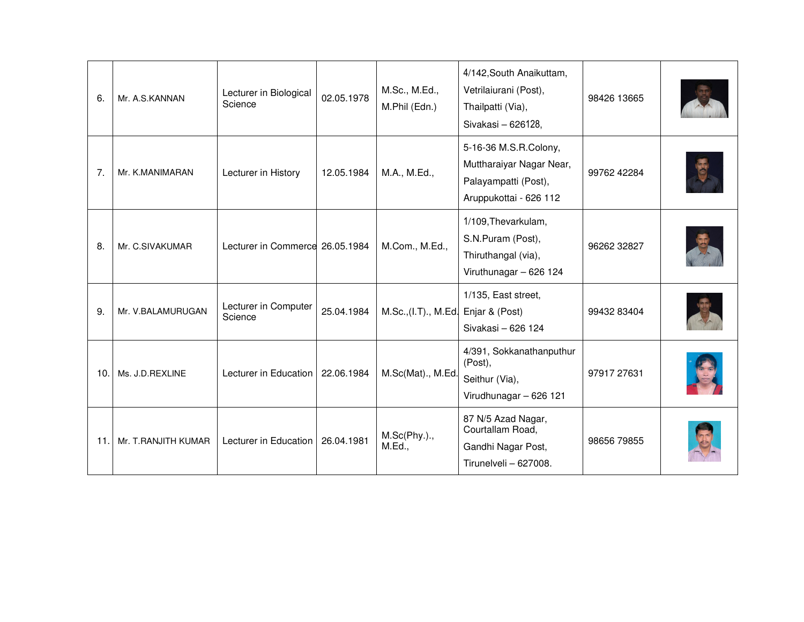| 6.              | Mr. A.S.KANNAN      | Lecturer in Biological<br>Science  | 02.05.1978 | M.Sc., M.Ed.,<br>M.Phil (Edn.) | 4/142, South Anaikuttam,<br>Vetrilaiurani (Post),<br>Thailpatti (Via),<br>Sivakasi - 626128,        | 98426 13665 |  |
|-----------------|---------------------|------------------------------------|------------|--------------------------------|-----------------------------------------------------------------------------------------------------|-------------|--|
| 7.              | Mr. K.MANIMARAN     | Lecturer in History                | 12.05.1984 | M.A., M.Ed.,                   | 5-16-36 M.S.R.Colony,<br>Muttharaiyar Nagar Near,<br>Palayampatti (Post),<br>Aruppukottai - 626 112 | 99762 42284 |  |
| 8.              | Mr. C.SIVAKUMAR     | Lecturer in Commerce 26.05.1984    |            | M.Com., M.Ed.,                 | 1/109, Thevarkulam,<br>S.N.Puram (Post),<br>Thiruthangal (via),<br>Viruthunagar - 626 124           | 96262 32827 |  |
| 9.              | Mr. V.BALAMURUGAN   | Lecturer in Computer<br>Science    | 25.04.1984 | M.Sc., (I.T), M.Ed.            | 1/135, East street,<br>Enjar & (Post)<br>Sivakasi - 626 124                                         | 99432 83404 |  |
| 10 <sub>1</sub> | Ms. J.D.REXLINE     | Lecturer in Education   22.06.1984 |            | M.Sc(Mat)., M.Ed.              | 4/391, Sokkanathanputhur<br>(Post),<br>Seithur (Via),<br>Virudhunagar - 626 121                     | 97917 27631 |  |
| 11.1            | Mr. T.RANJITH KUMAR | Lecturer in Education   26.04.1981 |            | M.Sc(Phy.).<br>M.Ed.,          | 87 N/5 Azad Nagar,<br>Courtallam Road,<br>Gandhi Nagar Post,<br>Tirunelveli - 627008.               | 98656 79855 |  |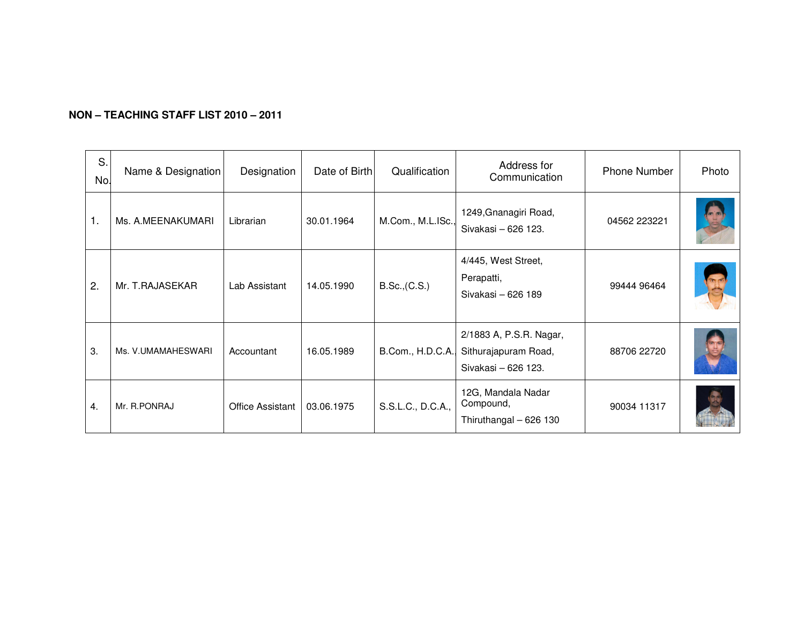| S.<br>No. | Name & Designation | Designation             | Date of Birth | Qualification     | Address for<br>Communication                                           | <b>Phone Number</b> | Photo |
|-----------|--------------------|-------------------------|---------------|-------------------|------------------------------------------------------------------------|---------------------|-------|
| 1.        | Ms. A.MEENAKUMARI  | Librarian               | 30.01.1964    | M.Com., M.L.ISc., | 1249, Gnanagiri Road,<br>Sivakasi - 626 123.                           | 04562 223221        |       |
| 2.        | Mr. T.RAJASEKAR    | Lab Assistant           | 14.05.1990    | B.Sc., (C.S.)     | 4/445, West Street,<br>Perapatti,<br>Sivakasi - 626 189                | 99444 96464         |       |
| 3.        | Ms. V.UMAMAHESWARI | Accountant              | 16.05.1989    | B.Com., H.D.C.A., | 2/1883 A, P.S.R. Nagar,<br>Sithurajapuram Road,<br>Sivakasi - 626 123. | 88706 22720         |       |
| 4.        | Mr. R.PONRAJ       | <b>Office Assistant</b> | 03.06.1975    | S.S.L.C., D.C.A., | 12G, Mandala Nadar<br>Compound,<br>Thiruthangal - 626 130              | 90034 11317         |       |

### **NON – TEACHING STAFF LIST 2010 – 2011**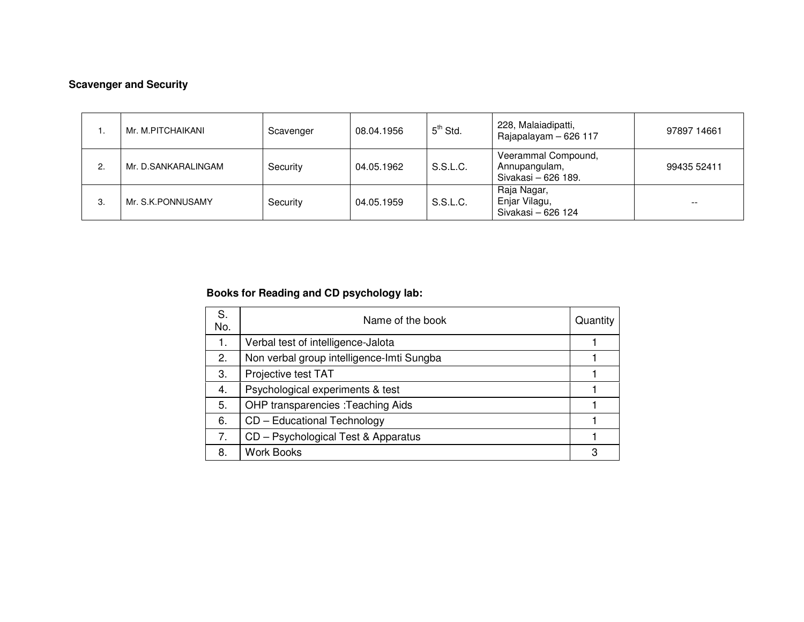## **Scavenger and Security**

|    | Mr. M.PITCHAIKANI   | Scavenger | 08.04.1956 | $5th$ Std. | 228, Malaiadipatti,<br>Rajapalayam - 626 117                | 97897 14661 |
|----|---------------------|-----------|------------|------------|-------------------------------------------------------------|-------------|
| ۷. | Mr. D.SANKARALINGAM | Security  | 04.05.1962 | S.S.L.C.   | Veerammal Compound,<br>Annupangulam,<br>Sivakasi - 626 189. | 99435 52411 |
| 3. | Mr. S.K. PONNUSAMY  | Security  | 04.05.1959 | S.S.L.C.   | Raja Nagar,<br>Enjar Vilagu,<br>Sivakasi - 626 124          | --          |

#### **Books for Reading and CD psychology lab:**

| S.<br>No. | Name of the book                          | Quantity |
|-----------|-------------------------------------------|----------|
| 1.        | Verbal test of intelligence-Jalota        |          |
| 2.        | Non verbal group intelligence-Imti Sungba |          |
| 3.        | Projective test TAT                       |          |
| 4.        | Psychological experiments & test          |          |
| 5.        | <b>OHP transparencies : Teaching Aids</b> |          |
| 6.        | CD - Educational Technology               |          |
| 7.        | CD – Psychological Test & Apparatus       |          |
| 8.        | <b>Work Books</b>                         | 3        |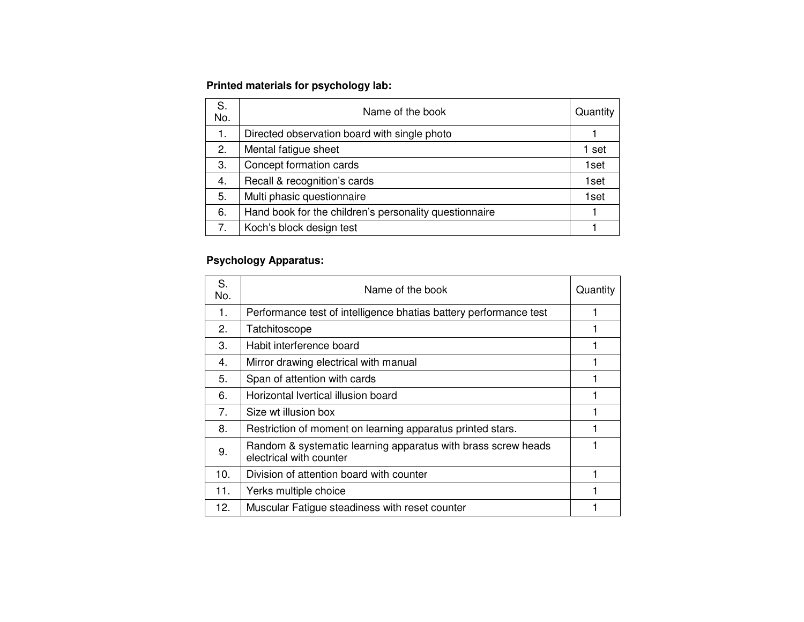#### **Printed materials for psychology lab:**

| S.<br>No. | Name of the book                                       | Quantity |
|-----------|--------------------------------------------------------|----------|
| 1.        | Directed observation board with single photo           |          |
| 2.        | Mental fatigue sheet                                   | 1 set    |
| 3.        | Concept formation cards                                | 1set     |
| 4.        | Recall & recognition's cards                           | 1set     |
| 5.        | Multi phasic questionnaire                             | 1set     |
| 6.        | Hand book for the children's personality questionnaire |          |
| 7.        | Koch's block design test                               |          |

#### **Psychology Apparatus:**

| S.<br>No.      | Name of the book                                                                         | Quantity |
|----------------|------------------------------------------------------------------------------------------|----------|
| 1.             | Performance test of intelligence bhatias battery performance test                        |          |
| 2.             | Tatchitoscope                                                                            |          |
| 3.             | Habit interference board                                                                 |          |
| 4.             | Mirror drawing electrical with manual                                                    |          |
| 5.             | Span of attention with cards                                                             |          |
| 6.             | Horizontal Ivertical illusion board                                                      |          |
| 7 <sub>1</sub> | Size wt illusion box                                                                     |          |
| 8.             | Restriction of moment on learning apparatus printed stars.                               |          |
| 9.             | Random & systematic learning apparatus with brass screw heads<br>electrical with counter |          |
| 10.            | Division of attention board with counter                                                 |          |
| 11.            | Yerks multiple choice                                                                    |          |
| 12.            | Muscular Fatigue steadiness with reset counter                                           |          |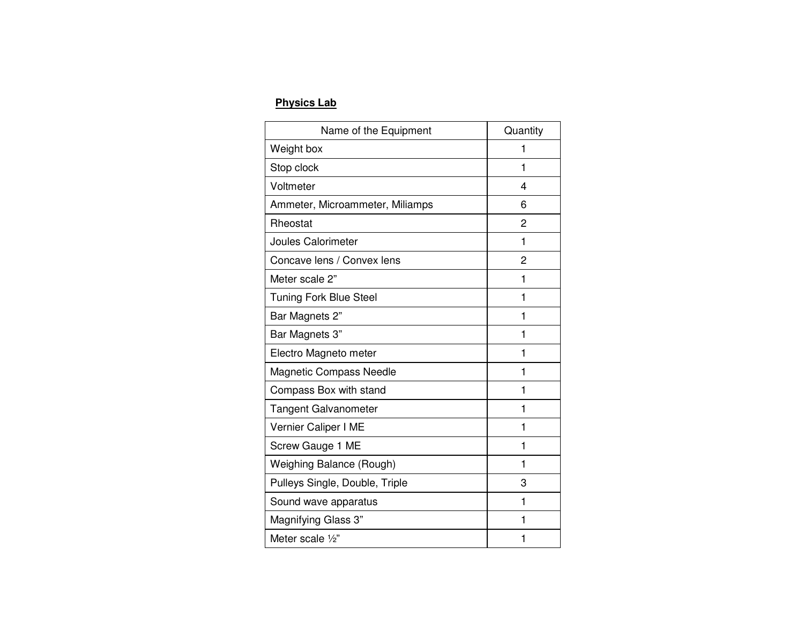#### **Physics Lab**

| Name of the Equipment           | Quantity |
|---------------------------------|----------|
| Weight box                      | 1        |
| Stop clock                      | 1        |
| Voltmeter                       | 4        |
| Ammeter, Microammeter, Miliamps | 6        |
| Rheostat                        | 2        |
| <b>Joules Calorimeter</b>       | 1        |
| Concave lens / Convex lens      | 2        |
| Meter scale 2"                  | 1        |
| <b>Tuning Fork Blue Steel</b>   | 1        |
| Bar Magnets 2"                  | 1        |
| Bar Magnets 3"                  | 1        |
| Electro Magneto meter           | 1        |
| <b>Magnetic Compass Needle</b>  | 1        |
| Compass Box with stand          | 1        |
| <b>Tangent Galvanometer</b>     | 1        |
| Vernier Caliper I ME            | 1        |
| Screw Gauge 1 ME                | 1        |
| Weighing Balance (Rough)        | 1        |
| Pulleys Single, Double, Triple  | 3        |
| Sound wave apparatus            | 1        |
| Magnifying Glass 3"             | 1        |
| Meter scale $\frac{1}{2}$ "     | 1        |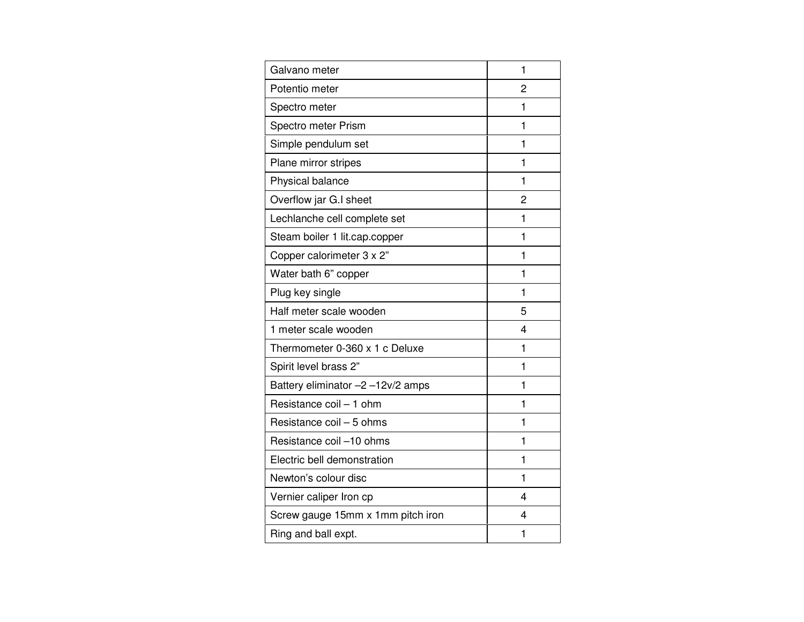| Galvano meter                     | 1 |
|-----------------------------------|---|
| Potentio meter                    | 2 |
| Spectro meter                     | 1 |
| Spectro meter Prism               | 1 |
| Simple pendulum set               | 1 |
| Plane mirror stripes              | 1 |
| Physical balance                  | 1 |
| Overflow jar G.I sheet            | 2 |
| Lechlanche cell complete set      | 1 |
| Steam boiler 1 lit.cap.copper     | 1 |
| Copper calorimeter 3 x 2"         | 1 |
| Water bath 6" copper              | 1 |
| Plug key single                   | 1 |
| Half meter scale wooden           | 5 |
| 1 meter scale wooden              | 4 |
| Thermometer 0-360 x 1 c Deluxe    | 1 |
| Spirit level brass 2"             | 1 |
| Battery eliminator -2 -12v/2 amps | 1 |
| Resistance coil - 1 ohm           | 1 |
| Resistance coil - 5 ohms          | 1 |
| Resistance coil -10 ohms          | 1 |
| Electric bell demonstration       | 1 |
| Newton's colour disc              | 1 |
| Vernier caliper Iron cp           | 4 |
| Screw gauge 15mm x 1mm pitch iron | 4 |
| Ring and ball expt.               | 1 |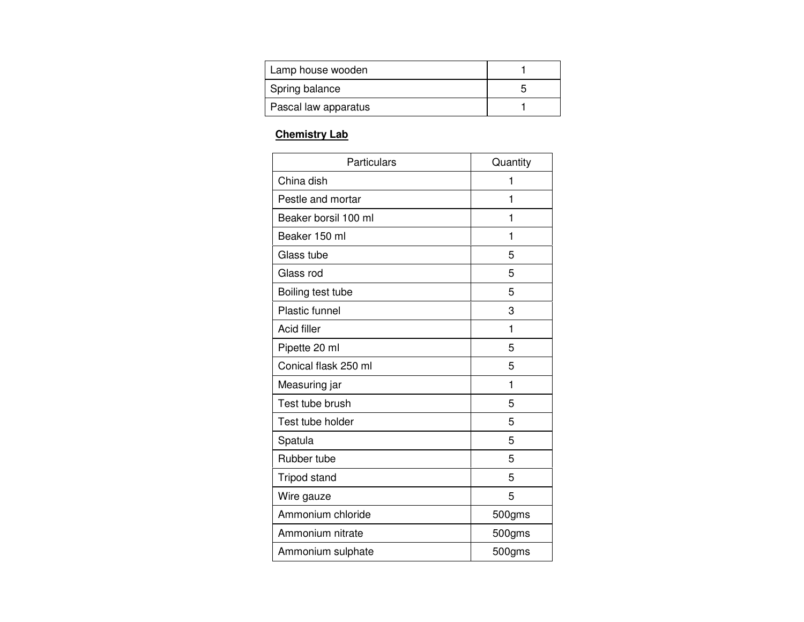| Lamp house wooden    |  |
|----------------------|--|
| Spring balance       |  |
| Pascal law apparatus |  |

## **Chemistry Lab**

| Particulars          | Quantity |
|----------------------|----------|
| China dish           | 1        |
| Pestle and mortar    | 1        |
| Beaker borsil 100 ml | 1        |
| Beaker 150 ml        | 1        |
| Glass tube           | 5        |
| Glass rod            | 5        |
| Boiling test tube    | 5        |
| Plastic funnel       | 3        |
| <b>Acid filler</b>   | 1        |
| Pipette 20 ml        | 5        |
| Conical flask 250 ml | 5        |
| Measuring jar        | 1        |
| Test tube brush      | 5        |
| Test tube holder     | 5        |
| Spatula              | 5        |
| Rubber tube          | 5        |
| <b>Tripod stand</b>  | 5        |
| Wire gauze           | 5        |
| Ammonium chloride    | 500gms   |
| Ammonium nitrate     | 500gms   |
| Ammonium sulphate    | 500gms   |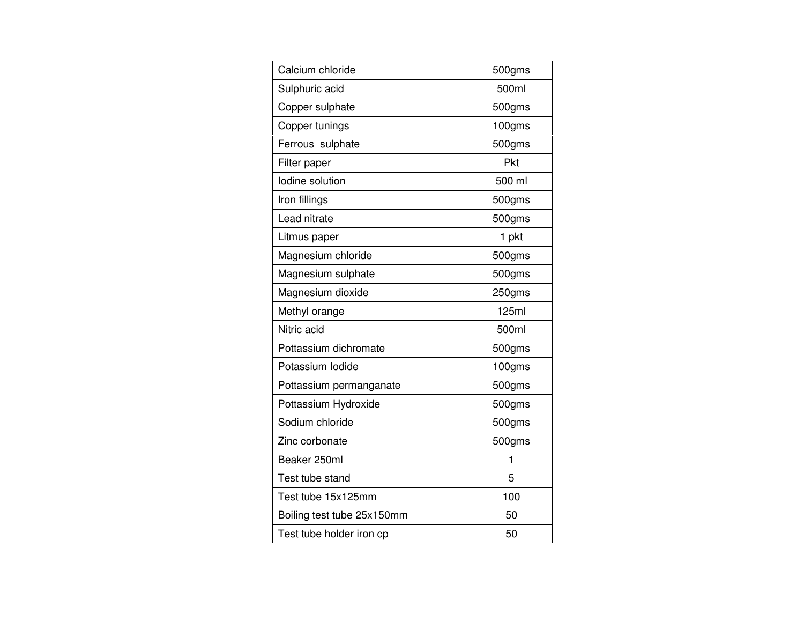| Calcium chloride           | 500gms |
|----------------------------|--------|
| Sulphuric acid             | 500ml  |
| Copper sulphate            | 500gms |
| Copper tunings             | 100gms |
| Ferrous sulphate           | 500gms |
| Filter paper               | Pkt    |
| lodine solution            | 500 ml |
| Iron fillings              | 500gms |
| Lead nitrate               | 500gms |
| Litmus paper               | 1 pkt  |
| Magnesium chloride         | 500gms |
| Magnesium sulphate         | 500gms |
| Magnesium dioxide          | 250gms |
| Methyl orange              | 125ml  |
| Nitric acid                | 500ml  |
| Pottassium dichromate      | 500gms |
| Potassium lodide           | 100gms |
| Pottassium permanganate    | 500gms |
| Pottassium Hydroxide       | 500gms |
| Sodium chloride            | 500gms |
| Zinc corbonate             | 500gms |
| Beaker 250ml               | 1      |
| Test tube stand            | 5      |
| Test tube 15x125mm         | 100    |
| Boiling test tube 25x150mm | 50     |
| Test tube holder iron cp   | 50     |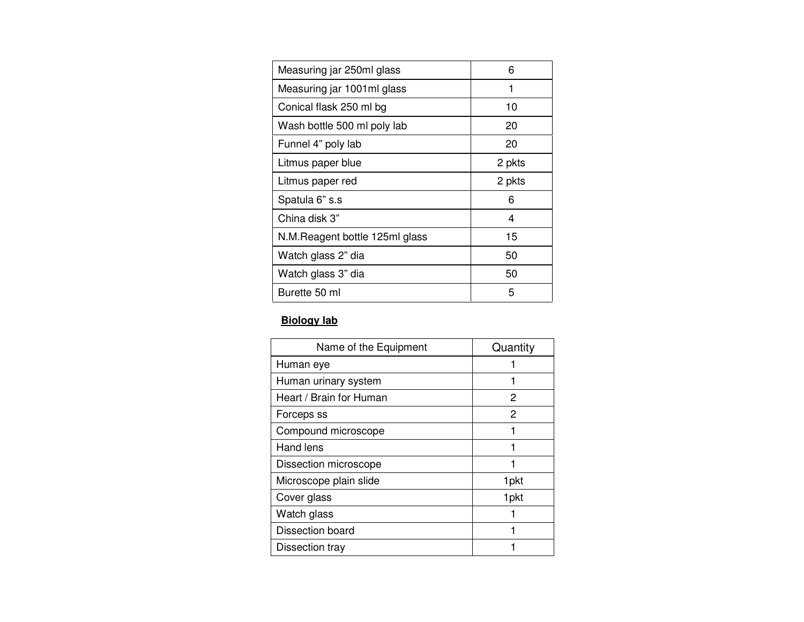| Measuring jar 250ml glass       | 6      |
|---------------------------------|--------|
| Measuring jar 1001ml glass      | 1      |
| Conical flask 250 ml bg         | 10     |
| Wash bottle 500 ml poly lab     | 20     |
| Funnel 4" poly lab              | 20     |
| Litmus paper blue               | 2 pkts |
| Litmus paper red                | 2 pkts |
| Spatula 6" s.s                  | 6      |
| China disk 3"                   | 4      |
| N.M. Reagent bottle 125ml glass | 15     |
| Watch glass 2" dia              | 50     |
| Watch glass 3" dia              | 50     |
| Burette 50 ml                   | 5      |

# **Biology lab**

| Name of the Equipment   | Quantity         |
|-------------------------|------------------|
| Human eye               |                  |
| Human urinary system    |                  |
| Heart / Brain for Human | 2                |
| Forceps ss              | 2                |
| Compound microscope     |                  |
| Hand lens               |                  |
| Dissection microscope   |                  |
| Microscope plain slide  | 1 <sub>pkt</sub> |
| Cover glass             | 1pkt             |
| Watch glass             |                  |
| Dissection board        |                  |
| Dissection tray         |                  |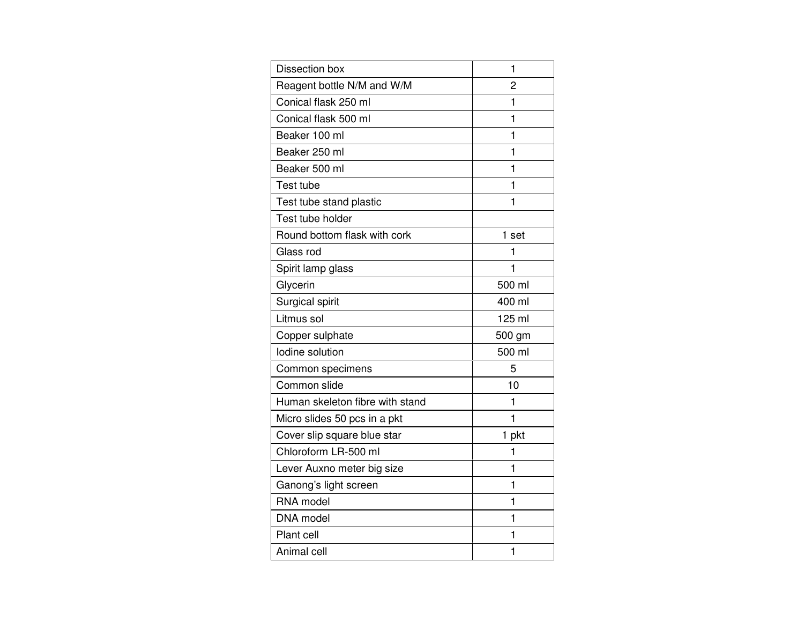| Dissection box                  | 1      |
|---------------------------------|--------|
| Reagent bottle N/M and W/M      | 2      |
| Conical flask 250 ml            | 1      |
| Conical flask 500 ml            | 1      |
| Beaker 100 ml                   | 1      |
| Beaker 250 ml                   | 1      |
| Beaker 500 ml                   | 1      |
| Test tube                       | 1      |
| Test tube stand plastic         | 1      |
| Test tube holder                |        |
| Round bottom flask with cork    | 1 set  |
| Glass rod                       | 1      |
| Spirit lamp glass               | 1      |
| Glycerin                        | 500 ml |
| Surgical spirit                 | 400 ml |
| Litmus sol                      | 125 ml |
| Copper sulphate                 | 500 gm |
| lodine solution                 | 500 ml |
| Common specimens                | 5      |
| Common slide                    | 10     |
| Human skeleton fibre with stand | 1      |
| Micro slides 50 pcs in a pkt    | 1      |
| Cover slip square blue star     | 1 pkt  |
| Chloroform LR-500 ml            | 1      |
| Lever Auxno meter big size      | 1      |
| Ganong's light screen           | 1      |
| RNA model                       | 1      |
| DNA model                       | 1      |
| Plant cell                      | 1      |
| Animal cell                     | 1      |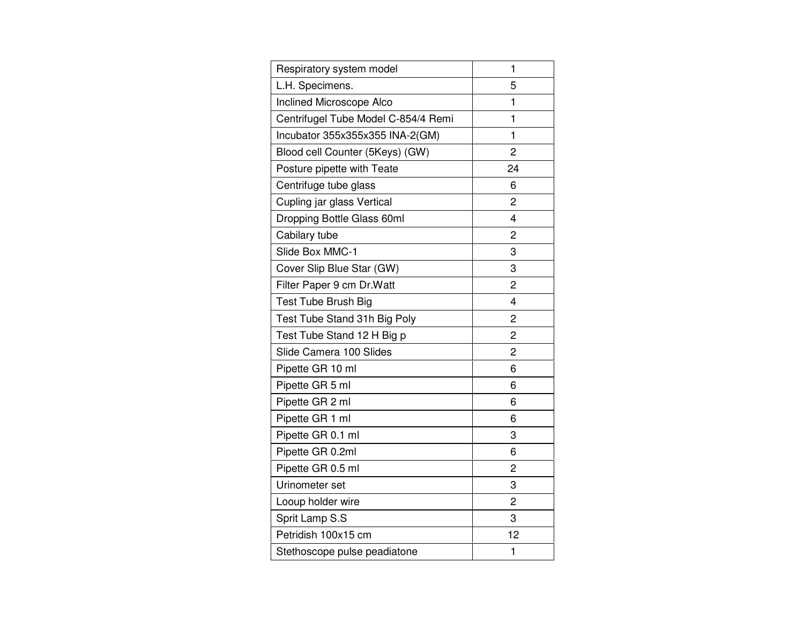| Respiratory system model            | 1              |
|-------------------------------------|----------------|
| L.H. Specimens.                     | 5              |
| Inclined Microscope Alco            | 1              |
| Centrifugel Tube Model C-854/4 Remi | 1              |
| Incubator 355x355x355 INA-2(GM)     | 1              |
| Blood cell Counter (5Keys) (GW)     | $\overline{2}$ |
| Posture pipette with Teate          | 24             |
| Centrifuge tube glass               | 6              |
| Cupling jar glass Vertical          | 2              |
| Dropping Bottle Glass 60ml          | 4              |
| Cabilary tube                       | 2              |
| Slide Box MMC-1                     | 3              |
| Cover Slip Blue Star (GW)           | 3              |
| Filter Paper 9 cm Dr. Watt          | 2              |
| Test Tube Brush Big                 | 4              |
| Test Tube Stand 31h Big Poly        | $\overline{2}$ |
| Test Tube Stand 12 H Big p          | 2              |
| Slide Camera 100 Slides             | 2              |
| Pipette GR 10 ml                    | 6              |
| Pipette GR 5 ml                     | 6              |
| Pipette GR 2 ml                     | 6              |
| Pipette GR 1 ml                     | 6              |
| Pipette GR 0.1 ml                   | 3              |
| Pipette GR 0.2ml                    | 6              |
| Pipette GR 0.5 ml                   | 2              |
| Urinometer set                      | 3              |
| Looup holder wire                   | 2              |
| Sprit Lamp S.S                      | 3              |
| Petridish 100x15 cm                 | 12             |
| Stethoscope pulse peadiatone        | 1              |